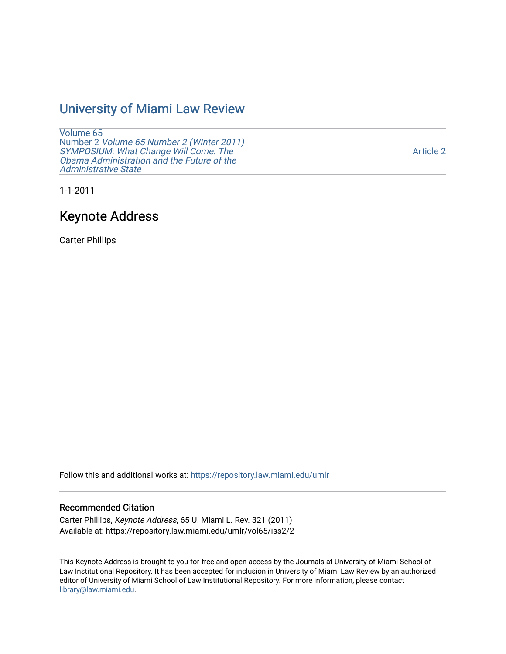## [University of Miami Law Review](https://repository.law.miami.edu/umlr)

[Volume 65](https://repository.law.miami.edu/umlr/vol65) Number 2 [Volume 65 Number 2 \(Winter 2011\)](https://repository.law.miami.edu/umlr/vol65/iss2)  [SYMPOSIUM: What Change Will Come: The](https://repository.law.miami.edu/umlr/vol65/iss2) [Obama Administration and the Future of the](https://repository.law.miami.edu/umlr/vol65/iss2)  [Administrative State](https://repository.law.miami.edu/umlr/vol65/iss2) 

[Article 2](https://repository.law.miami.edu/umlr/vol65/iss2/2) 

1-1-2011

## Keynote Address

Carter Phillips

Follow this and additional works at: [https://repository.law.miami.edu/umlr](https://repository.law.miami.edu/umlr?utm_source=repository.law.miami.edu%2Fumlr%2Fvol65%2Fiss2%2F2&utm_medium=PDF&utm_campaign=PDFCoverPages)

#### Recommended Citation

Carter Phillips, Keynote Address, 65 U. Miami L. Rev. 321 (2011) Available at: https://repository.law.miami.edu/umlr/vol65/iss2/2

This Keynote Address is brought to you for free and open access by the Journals at University of Miami School of Law Institutional Repository. It has been accepted for inclusion in University of Miami Law Review by an authorized editor of University of Miami School of Law Institutional Repository. For more information, please contact [library@law.miami.edu.](mailto:library@law.miami.edu)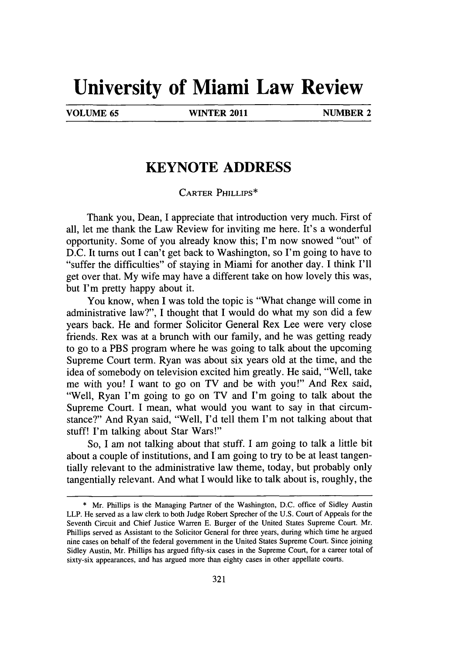# **University of Miami Law Review**

**VOLUME 65 WINTER 2011 NUMBER 2**

### **KEYNOTE ADDRESS**

CARTER PHILLIPS\*

Thank you, Dean, I appreciate that introduction very much. First of all, let me thank the Law Review for inviting me here. It's a wonderful opportunity. Some of you already know this; I'm now snowed "out" of **D.C.** It turns out **I** can't get back to Washington, so I'm going to have to "suffer the difficulties" of staying in Miami for another day. **I** think **I'll** get over that. **My** wife may have a different take on how lovely this was, but I'm pretty happy about it.

You know, when **I** was told the topic is "What change will come in administrative law?", **I** thought that I would do what my son did a few years back. He and former Solicitor General Rex Lee were very close friends. Rex was at a brunch with our family, and he was getting ready to go to a PBS program where he was going to talk about the upcoming Supreme Court term. Ryan was about six years old at the time, and the idea of somebody on television excited him greatly. He said, "Well, take me with you! **I** want to go on TV and be with you!" And Rex said, "Well, Ryan I'm going to go on TV and I'm going to talk about the Supreme Court. I mean, what would you want to say in that circumstance?" And Ryan said, "Well, **I'd** tell them I'm not talking about that stuff! I'm talking about Star Wars!"

So, *I* am not talking about that stuff. **I** am going to talk a little bit about a couple of institutions, and **I** am going to try to be at least tangentially relevant to the administrative law theme, today, but probably only tangentially relevant. And what I would like to talk about is, roughly, the

**<sup>\*</sup>** Mr. Phillips is the Managing Partner of the Washington, **D.C.** office of Sidley Austin LLP. He served as a law clerk to both Judge Robert Sprecher of the **U.S.** Court of Appeals for the Seventh Circuit and Chief Justice Warren **E.** Burger of the United States Supreme Court. Mr. Phillips served as Assistant to the Solicitor General for three years, during which time he argued nine cases on behalf of the federal government in the United States Supreme Court. Since joining Sidley Austin, Mr. Phillips has argued fifty-six cases in the Supreme Court, for a career total of sixty-six appearances, and has argued more than eighty cases in other appellate courts.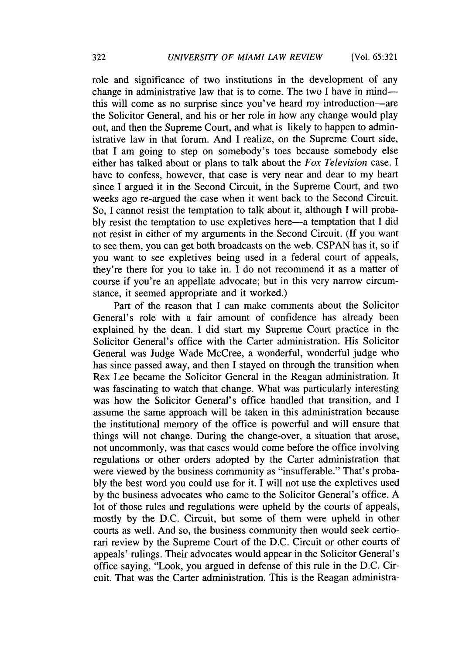role and significance of two institutions in the development of any change in administrative law that is to come. The two **I** have in mindthis will come as no surprise since you've heard my introduction-are the Solicitor General, and his or her role in how any change would play out, and then the Supreme Court, and what is likely to happen to administrative law in that forum. And **I** realize, on the Supreme Court side, that **I** am going to step on somebody's toes because somebody else either has talked about or plans to talk about the *Fox Television* case. **I** have to confess, however, that case is very near and dear to my heart since **I** argued it in the Second Circuit, in the Supreme Court, and two weeks ago re-argued the case when it went back to the Second Circuit. So, **I** cannot resist the temptation to talk about it, although **I** will proba**bly** resist the temptation to use expletives here-a temptation that **I** did not resist in either of my arguments in the Second Circuit. **(If** you want to see them, you can get both broadcasts on the web. **CSPAN** has it, so if you want to see expletives being used in a federal court of appeals, they're there for you to take in. **I** do not recommend it as a matter of course if you're an appellate advocate; but in this very narrow circumstance, it seemed appropriate and it worked.)

Part of the reason that **I** can make comments about the Solicitor General's role with a fair amount of confidence has already been explained **by** the dean. **I** did start my Supreme Court practice in the Solicitor General's office with the Carter administration. His Solicitor General was Judge Wade McCree, a wonderful, wonderful judge who has since passed away, and then **I** stayed on through the transition when Rex Lee became the Solicitor General in the Reagan administration. It was fascinating to watch that change. What was particularly interesting was how the Solicitor General's office handled that transition, and **I** assume the same approach will be taken in this administration because the institutional memory of the office is powerful and will ensure that things will not change. During the change-over, a situation that arose, not uncommonly, was that cases would come before the office involving regulations or other orders adopted **by** the Carter administration that were viewed **by** the business community as "insufferable." That's proba**bly** the best word you could use for it. **I** will not use the expletives used **by** the business advocates who came to the Solicitor General's office. **A** lot of those rules and regulations were upheld **by** the courts of appeals, mostly **by** the **D.C.** Circuit, but some of them were upheld in other courts as well. And so, the business community then would seek certiorari review **by** the Supreme Court of the **D.C.** Circuit or other courts of appeals' rulings. Their advocates would appear in the Solicitor General's office saying, "Look, you argued in defense of this rule in the **D.C.** Circuit. That was the Carter administration. This is the Reagan administra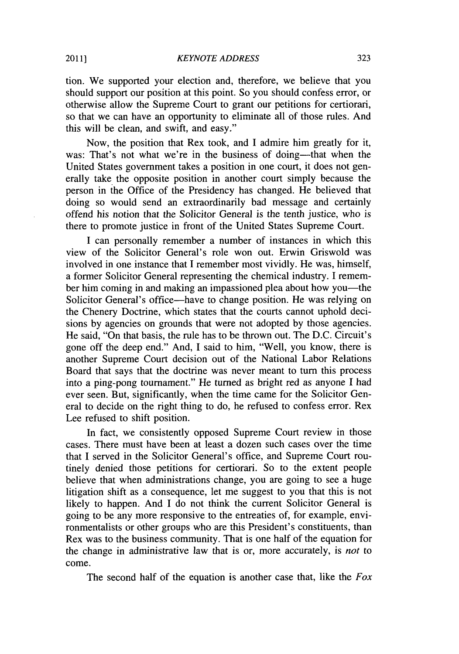tion. We supported your election and, therefore, we believe that you should support our position at this point. So you should confess error, or otherwise allow the Supreme Court to grant our petitions for certiorari, so that we can have an opportunity to eliminate all of those rules. And this will be clean, and swift, and easy."

Now, the position that Rex took, and **I** admire him greatly for it, was: That's not what we're in the business of doing—that when the United States government takes a position in one court, it does not generally take the opposite position in another court simply because the person in the Office of the Presidency has changed. He believed that doing so would send an extraordinarily bad message and certainly offend his notion that the Solicitor General is the tenth justice, who is there to promote justice in front of the United States Supreme Court.

**I** can personally remember a number of instances in which this view of the Solicitor General's role won out. Erwin Griswold was involved in one instance that **I** remember most vividly. He was, himself, a former Solicitor General representing the chemical industry. **I** remember him coming in and making an impassioned plea about how you—the Solicitor General's office—have to change position. He was relying on the Chenery Doctrine, which states that the courts cannot uphold decisions **by** agencies on grounds that were not adopted **by** those agencies. He said, "On that basis, the rule has to be thrown out. The **D.C.** Circuit's gone off the deep end." And, **I** said to him, "Well, you know, there is another Supreme Court decision out of the National Labor Relations Board that says that the doctrine was never meant to turn this process into a ping-pong tournament." He turned as bright red as anyone **I** had ever seen. But, significantly, when the time came for the Solicitor General to decide on the right thing to do, he refused to confess error. Rex Lee refused to shift position.

In fact, we consistently opposed Supreme Court review in those cases. There must have been at least a dozen such cases over the time that **I** served in the Solicitor General's office, and Supreme Court routinely denied those petitions for certiorari. So to the extent people believe that when administrations change, you are going to see a huge litigation shift as a consequence, let me suggest to you that this is not likely to happen. And **I** do not think the current Solicitor General is going to be any more responsive to the entreaties of, for example, environmentalists or other groups who are this President's constituents, than Rex was to the business community. That is one half of the equation for the change in administrative law that is or, more accurately, is *not to* come.

The second half of the equation is another case that, like the *Fox*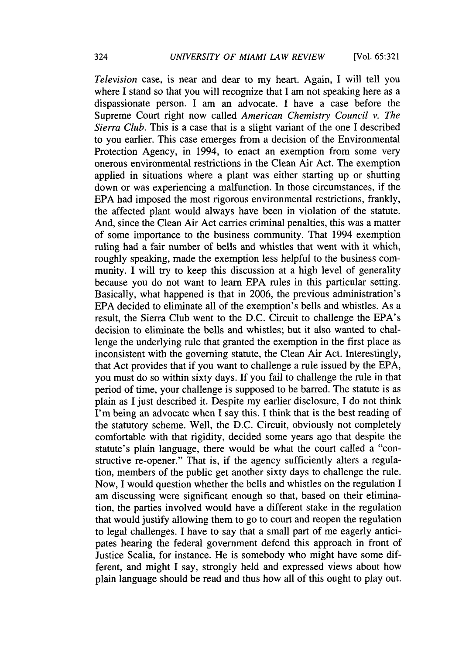*Television* case, is near and dear to my heart. Again, **I** will tell you where I stand so that you will recognize that **I** am not speaking here as a dispassionate person. **I** am an advocate. **I** have a case before the Supreme Court right now called *American Chemistry Council v. The Sierra Club.* This is a case that is a slight variant of the one **I** described to you earlier. This case emerges from a decision of the Environmental Protection Agency, in 1994, to enact an exemption from some very onerous environmental restrictions in the Clean Air Act. The exemption applied in situations where a plant was either starting up or shutting down or was experiencing a malfunction. In those circumstances, if the **EPA** had imposed the most rigorous environmental restrictions, frankly, the affected plant would always have been in violation of the statute. And, since the Clean Air Act carries criminal penalties, this was a matter of some importance to the business community. That 1994 exemption ruling had a fair number of bells and whistles that went with it which, roughly speaking, made the exemption less helpful to the business community. **I** will try to keep this discussion at a high level of generality because you do not want to learn **EPA** rules in this particular setting. Basically, what happened is that in **2006,** the previous administration's **EPA** decided to eliminate all of the exemption's bells and whistles. As a result, the Sierra Club went to the **D.C.** Circuit to challenge the EPA's decision to eliminate the bells and whistles; but it also wanted to challenge the underlying rule that granted the exemption in the first place as inconsistent with the governing statute, the Clean Air Act. Interestingly, that Act provides that if you want to challenge a rule issued **by** the **EPA,** you must do so within sixty days. **If** you fail to challenge the rule in that period of time, your challenge is supposed to be barred. The statute is as plain as **I** just described it. Despite my earlier disclosure, **I** do not think I'm being an advocate when **I** say this. **I** think that is the best reading of the statutory scheme. Well, the **D.C.** Circuit, obviously not completely comfortable with that rigidity, decided some years ago that despite the statute's plain language, there would be what the court called a "constructive re-opener." That is, if the agency sufficiently alters a regulation, members of the public get another sixty days to challenge the rule. Now, **I** would question whether the bells and whistles on the regulation I am discussing were significant enough so that, based on their elimination, the parties involved would have a different stake in the regulation that would justify allowing them to go to court and reopen the regulation to legal challenges. **I** have to say that a small part of me eagerly anticipates hearing the federal government defend this approach in front of Justice Scalia, for instance. He is somebody who might have some different, and might **I** say, strongly held and expressed views about how plain language should be read and thus how all of this ought to play out.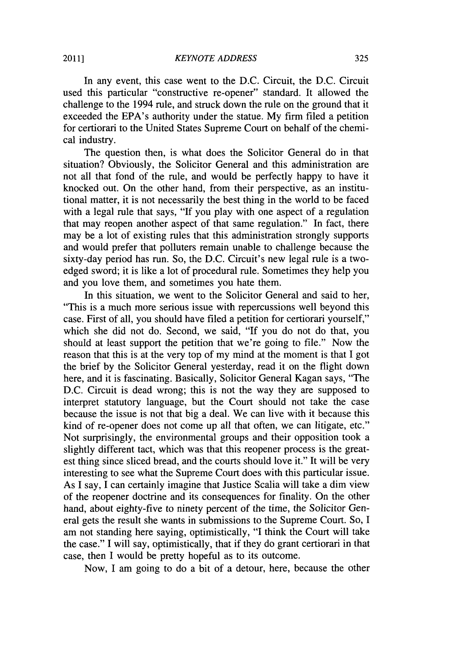In any event, this case went to the **D.C.** Circuit, the **D.C.** Circuit used this particular "constructive re-opener" standard. It allowed the challenge to the 1994 rule, and struck down the rule on the ground that it exceeded the EPA's authority under the statue. **My** firm filed a petition for certiorari to the United States Supreme Court on behalf of the chenical industry.

The question then, is what does the Solicitor General do in that situation? Obviously, the Solicitor General and this administration are not all that fond of the rule, and would be perfectly happy to have it knocked out. On the other hand, from their perspective, as an institutional matter, it is not necessarily the best thing in the world to be faced with a legal rule that says, **"If** you play with one aspect of a regulation that may reopen another aspect of that same regulation." In fact, there may be a lot of existing rules that this administration strongly supports and would prefer that polluters remain unable to challenge because the sixty-day period has run. So, the **D.C.** Circuit's new legal rule is a twoedged sword; it is like a lot of procedural rule. Sometimes they help you and you love them, and sometimes you hate them.

In this situation, we went to the Solicitor General and said to her, "This is a much more serious issue with repercussions well beyond this case. First of all, you should have filed a petition for certiorari yourself," which she did not do. Second, we said, **"If** you do not do that, you should at least support the petition that we're going to file." Now the reason that this is at the very top of my mind at the moment is that **I** got the brief **by** the Solicitor General yesterday, read it on the flight down here, and it is fascinating. Basically, Solicitor General Kagan says, "The **D.C.** Circuit is dead wrong; this is not the way they are supposed to interpret statutory language, but the Court should not take the case because the issue is not that big a deal. We can live with it because this kind of re-opener does not come up all that often, we can litigate, etc." Not surprisingly, the environmental groups and their opposition took a slightly different tact, which was that this reopener process is the greatest thing since sliced bread, and the courts should love it." It will be very interesting to see what the Supreme Court does with this particular issue. As **I** say, **I** can certainly imagine that Justice Scalia will take a dim view of the reopener doctrine and its consequences for finality. On the other hand, about eighty-five to ninety percent of the time, the Solicitor General gets the result she wants in submissions to the Supreme Court. So, **I** am not standing here saying, optimistically, **"I** think the Court will take the case." **I** will say, optimistically, that if they do grant certiorari in that case, then **I** would be pretty hopeful as to its outcome.

Now, **I** am going to do a bit of a detour, here, because the other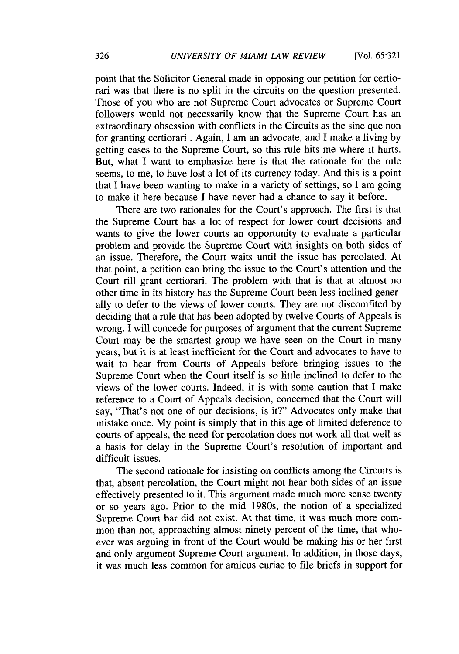point that the Solicitor General made in opposing our petition for certiorari was that there is no split in the circuits on the question presented. Those of you who are not Supreme Court advocates or Supreme Court followers would not necessarily know that the Supreme Court has an extraordinary obsession with conflicts in the Circuits as the sine que non for granting certiorari **.** Again, **I** am an advocate, and **I** make a living **by** getting cases to the Supreme Court, so this rule hits me where it hurts. But, what **I** want to emphasize here is that the rationale for the rule seems, to me, to have lost a lot of its currency today. And this is a point that **I** have been wanting to make in a variety of settings, so **I** am going to make it here because **I** have never had a chance to say it before.

There are two rationales for the Court's approach. The first is that the Supreme Court has a lot of respect for lower court decisions and wants to give the lower courts an opportunity to evaluate a particular problem and provide the Supreme Court with insights on both sides of an issue. Therefore, the Court waits until the issue has percolated. At that point, a petition can bring the issue to the Court's attention and the Court rill grant certiorari. The problem with that is that at almost no other time in its history has the Supreme Court been less inclined generally to defer to the views of lower courts. They are not discomfited **by** deciding that a rule that has been adopted **by** twelve Courts of Appeals is wrong. **I** will concede for purposes of argument that the current Supreme Court may be the smartest group we have seen on the Court in many years, but it is at least inefficient for the Court and advocates to have to wait to hear from Courts of Appeals before bringing issues to the Supreme Court when the Court itself is so little inclined to defer to the views of the lower courts. Indeed, it is with some caution that **I** make reference to a Court of Appeals decision, concerned that the Court will say, "That's not one of our decisions, is it?" Advocates only make that mistake once. **My** point is simply that in this age of limited deference to courts of appeals, the need for percolation does not work all that well as a basis for delay in the Supreme Court's resolution of important and difficult issues.

The second rationale for insisting on conflicts among the Circuits is that, absent percolation, the Court might not hear both sides of an issue effectively presented to it. This argument made much more sense twenty or so years ago. Prior to the mid 1980s, the notion of a specialized Supreme Court bar did not exist. At that time, it was much more common than not, approaching almost ninety percent of the time, that whoever was arguing in front of the Court would be making his or her first and only argument Supreme Court argument. In addition, in those days, it was much less common for amicus curiae to file briefs in support for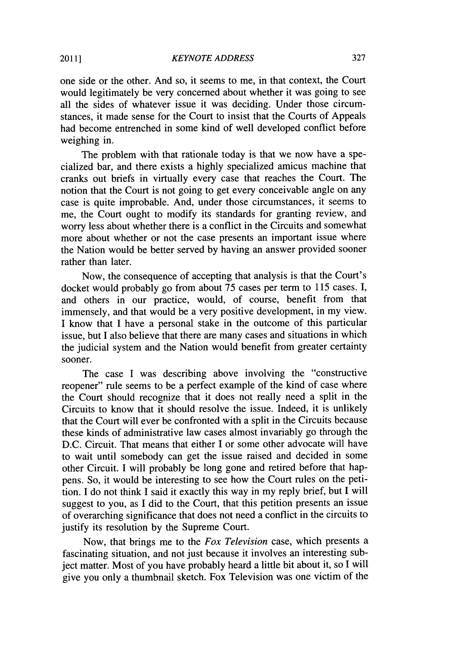one side or the other. And so, it seems to me, in that context, the Court would legitimately be very concerned about whether it was going to see all the sides of whatever issue it was deciding. Under those circumstances, it made sense for the Court to insist that the Courts of Appeals had become entrenched in some kind of well developed conflict before weighing in.

The problem with that rationale today is that we now have a specialized bar, and there exists a **highly** specialized amicus machine that cranks out briefs in virtually every case that reaches the Court. The notion that the Court is not going to get every conceivable angle on any case is quite improbable. And, under those circumstances, it seems to me, the Court ought to modify its standards for granting review, and worry less about whether there is a conflict in the Circuits and somewhat more about whether or not the case presents an important issue where the Nation would be better served **by** having an answer provided sooner rather than later.

Now, the consequence of accepting that analysis is that the Court's docket would probably go from about **75** cases per term to **115** cases. I, and others in our practice, would, of course, benefit from that immensely, and that would be a very positive development, in my view. **I** know that **I** have a personal stake in the outcome of this particular issue, but **I** also believe that there are many cases and situations in which the judicial system and the Nation would benefit from greater certainty sooner.

The case I was describing above involving the "constructive reopener" rule seems to be a perfect example of the kind of case where the Court should recognize that it does not really need a split in the Circuits to know that it should resolve the issue. Indeed, it is unlikely that the Court will ever be confronted with a split in the Circuits because these kinds of administrative law cases almost invariably go through the **D.C.** Circuit. That means that either **I** or some other advocate will have to wait until somebody can get the issue raised and decided in some other Circuit. **I** will probably be long gone and retired before that happens. So, it would be interesting to see how the Court rules on the petition. **I** do not think **I** said it exactly this way in my reply brief, but **I** will suggest to you, as **I** did to the Court, that this petition presents an issue of overarching significance that does not need a conflict in the circuits to justify its resolution **by** the Supreme Court.

Now, that brings me to the *Fox Television* case, which presents a fascinating situation, and not just because it involves an interesting subject matter. Most of you have probably heard a little bit about it, so **I** will give you only a thumbnail sketch. Fox Television was one victim of the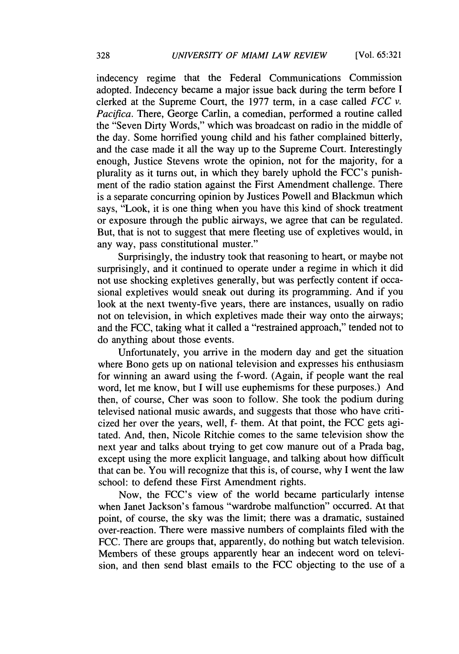indecency regime that the Federal Communications Commission adopted. Indecency became a major issue back during the term before **I** clerked at the Supreme Court, the **1977** term, in a case called *FCC v. Pacifica.* There, George Carlin, a comedian, performed a routine called the "Seven Dirty Words," which was broadcast on radio in the middle of the day. Some horrified young child and his father complained bitterly, and the case made it all the way up to the Supreme Court. Interestingly enough, Justice Stevens wrote the opinion, not for the majority, for a plurality as it turns out, in which they barely uphold the FCC's punishment of the radio station against the First Amendment challenge. There is a separate concurring opinion **by** Justices Powell and Blackmun which says, "Look, it is one thing when you have this kind of shock treatment or exposure through the public airways, we agree that can be regulated. But, that is not to suggest that mere fleeting use of expletives would, in any way, pass constitutional muster."

Surprisingly, the industry took that reasoning to heart, or maybe not surprisingly, and it continued to operate under a regime in which it did not use shocking expletives generally, but was perfectly content if occasional expletives would sneak out during its programming. And if you look at the next twenty-five years, there are instances, usually on radio not on television, in which expletives made their way onto the airways; and the **FCC,** taking what it called a "restrained approach," tended not to do anything about those events.

Unfortunately, you arrive in the modern day and get the situation where Bono gets up on national television and expresses his enthusiasm for winning an award using the f-word. (Again, if people want the real word, let me know, but **I** will use euphemisms for these purposes.) And then, of course, Cher was soon to follow. She took the podium during televised national music awards, and suggests that those who have criticized her over the years, well, f- them. At that point, the **FCC** gets agitated. And, then, Nicole Ritchie comes to the same television show the next year and talks about trying to get cow manure out of a Prada bag, except using the more explicit language, and talking about how difficult that can be. You will recognize that this is, of course, why **I** went the law school: to defend these First Amendment rights.

Now, the FCC's view of the world became particularly intense when Janet Jackson's famous "wardrobe malfunction" occurred. At that point, of course, the sky was the limit; there was a dramatic, sustained over-reaction. There were massive numbers of complaints filed with the **FCC.** There are groups that, apparently, do nothing but watch television. Members of these groups apparently hear an indecent word on television, and then send blast emails to the **FCC** objecting to the use of a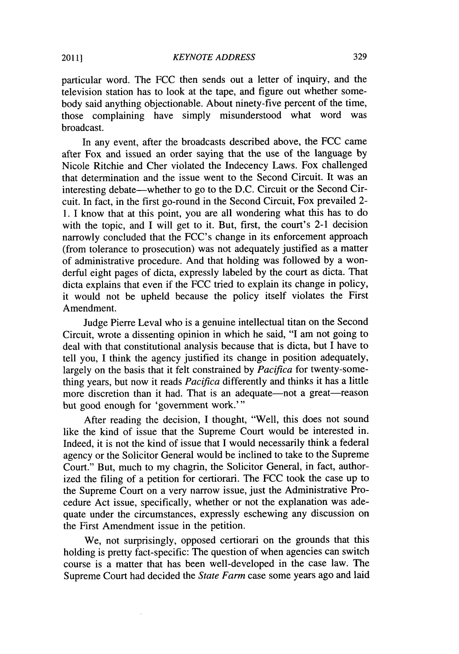particular word. The **FCC** then sends out a letter of inquiry, and the television station has to look at the tape, and figure out whether somebody said anything objectionable. About ninety-five percent of the time, those complaining have simply misunderstood what word was broadcast.

In any event, after the broadcasts described above, the **FCC** came after Fox and issued an order saying that the use of the language **by** Nicole Ritchie and Cher violated the Indecency Laws. Fox challenged that determination and the issue went to the Second Circuit. It was an interesting debate-whether to go to the **D.C.** Circuit or the Second Circuit. In fact, in the first go-round in the Second Circuit, Fox prevailed 2- **1.** I know that at this point, you are all wondering what this has to do with the topic, and I will get to it. But, first, the court's 2-1 decision narrowly concluded that the FCC's change in its enforcement approach (from tolerance to prosecution) was not adequately justified as a matter of administrative procedure. And that holding was followed **by** a wonderful eight pages of dicta, expressly labeled **by** the court as dicta. That dicta explains that even if the **FCC** tried to explain its change in policy, it would not be upheld because the policy itself violates the First Amendment.

Judge Pierre Leval who is a genuine intellectual titan on the Second Circuit, wrote a dissenting opinion in which he said, **"I** am not going to deal with that constitutional analysis because that is dicta, but I have to tell you, **I** think the agency justified its change in position adequately, largely on the basis that it felt constrained **by** *Pacifica* for twenty-something years, but now it reads *Pacifica* differently and thinks it has a little more discretion than it had. That is an adequate-not a great-reason but good enough for 'government work."'

After reading the decision, **I** thought, "Well, this does not sound like the kind of issue that the Supreme Court would be interested in. Indeed, it is not the kind of issue that **I** would necessarily think a federal agency or the Solicitor General would be inclined to take to the Supreme Court." But, much to my chagrin, the Solicitor General, in fact, authorized the filing of a petition for certiorari. The **FCC** took the case up to the Supreme Court on a very narrow issue, just the Administrative Procedure Act issue, specifically, whether or not the explanation was adequate under the circumstances, expressly eschewing any discussion on the First Amendment issue in the petition.

We, not surprisingly, opposed certiorari on the grounds that this holding is pretty fact-specific: The question of when agencies can switch course is a matter that has been well-developed in the case law. The Supreme Court had decided the *State Farm* case some years ago and laid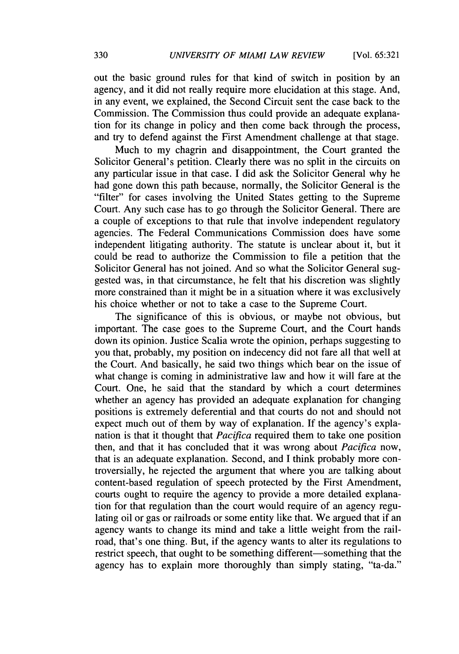out the basic ground rules for that kind of switch in position **by** an agency, and it did not really require more elucidation at this stage. And, in any event, we explained, the Second Circuit sent the case back to the Commission. The Commission thus could provide an adequate explanation for its change in policy and then come back through the process, and try to defend against the First Amendment challenge at that stage.

Much to my chagrin and disappointment, the Court granted the Solicitor General's petition. Clearly there was no split in the circuits on any particular issue in that case. I did ask the Solicitor General why he had gone down this path because, normally, the Solicitor General is the "filter" for cases involving the United States getting to the Supreme Court. Any such case has to go through the Solicitor General. There are a couple of exceptions to that rule that involve independent regulatory agencies. The Federal Communications Commission does have some independent litigating authority. The statute is unclear about it, but it could be read to authorize the Commission to file a petition that the Solicitor General has not joined. And so what the Solicitor General suggested was, in that circumstance, he felt that his discretion was slightly more constrained than it might be in a situation where it was exclusively his choice whether or not to take a case to the Supreme Court.

The significance of this is obvious, or maybe not obvious, but important. The case goes to the Supreme Court, and the Court hands down its opinion. Justice Scalia wrote the opinion, perhaps suggesting to you that, probably, my position on indecency did not fare all that well at the Court. And basically, he said two things which bear on the issue of what change is coming in administrative law and how it will fare at the Court. One, he said that the standard **by** which a court determines whether an agency has provided an adequate explanation for changing positions is extremely deferential and that courts do not and should not expect much out of them **by** way of explanation. **If** the agency's explanation is that it thought that *Pacifica* required them to take one position then, and that it has concluded that it was wrong about *Pacifica* now, that is an adequate explanation. Second, and **I** think probably more controversially, he rejected the argument that where you are talking about content-based regulation of speech protected **by** the First Amendment, courts ought to require the agency to provide a more detailed explanation for that regulation than the court would require of an agency regulating oil or gas or railroads or some entity like that. We argued that if an agency wants to change its mind and take a little weight from the railroad, that's one thing. But, if the agency wants to alter its regulations to restrict speech, that ought to be something different—something that the agency has to explain more thoroughly than simply stating, "ta-da."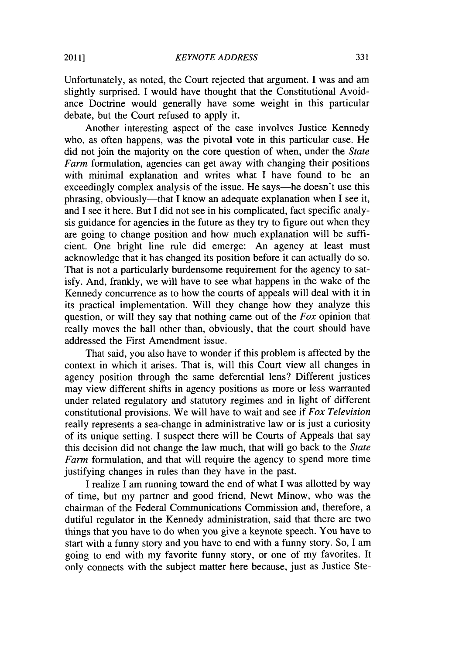Unfortunately, as noted, the Court rejected that argument. **I** was and am slightly surprised. **I** would have thought that the Constitutional Avoidance Doctrine would generally have some weight in this particular debate, but the Court refused to apply it.

Another interesting aspect of the case involves Justice Kennedy who, as often happens, was the pivotal vote in this particular case. He did not join the majority on the core question of when, under the *State Farm* formulation, agencies can get away with changing their positions with minimal explanation and writes what I have found to be an exceedingly complex analysis of the issue. He says—he doesn't use this phrasing, obviously—that I know an adequate explanation when I see it, and **I** see it here. But **I** did not see in his complicated, fact specific analysis guidance for agencies in the future as they try to figure out when they are going to change position and how much explanation will be sufficient. One bright line rule did emerge: An agency at least must acknowledge that it has changed its position before it can actually do so. That is not a particularly burdensome requirement for the agency to satisfy. And, frankly, we will have to see what happens in the wake of the Kennedy concurrence as to how the courts of appeals will deal with it in its practical implementation. Will they change how they analyze this question, or will they say that nothing came out of the *Fox* opinion that really moves the ball other than, obviously, that the court should have addressed the First Amendment issue.

That said, you also have to wonder if this problem is affected **by** the context in which it arises. That is, will this Court view all changes in agency position through the same deferential lens? Different justices may view different shifts in agency positions as more or less warranted under related regulatory and statutory regimes and in light of different constitutional provisions. We will have to wait and see if *Fox Television* really represents a sea-change in administrative law or is just a curiosity of its unique setting. **I** suspect there will be Courts of Appeals that say this decision did not change the law much, that will go back to the *State Farm* formulation, and that will require the agency to spend more time justifying changes in rules than they have in the past.

**I** realize **I** am running toward the end of what **I** was allotted **by** way of time, but my partner and good friend, Newt Minow, who was the chairman of the Federal Communications Commission and, therefore, a dutiful regulator in the Kennedy administration, said that there are two things that you have to do when you give a keynote speech. You have to start with a funny story and you have to end with a funny story. So, **I** am going to end with my favorite funny story, or one of my favorites. It only connects with the subject matter here because, just as Justice Ste-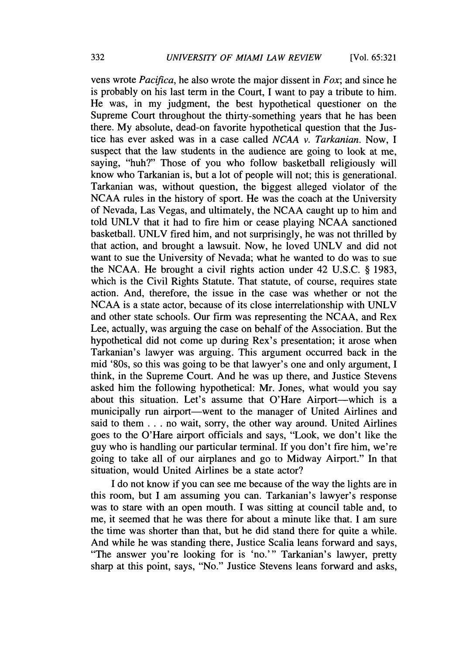vens wrote *Pacifica,* he also wrote the major dissent in *Fox;* and since he is probably on his last term in the Court, **I** want to pay a tribute to him. He was, in my judgment, the best hypothetical questioner on the Supreme Court throughout the thirty-something years that he has been there. **My** absolute, dead-on favorite hypothetical question that the Justice has ever asked was in a case called *NCAA v. Tarkanian.* Now, **I** suspect that the law students in the audience are going to look at me, saying, "huh?" Those of you who follow basketball religiously will know who Tarkanian is, but a lot of people will not; this is generational. Tarkanian was, without question, the biggest alleged violator of the **NCAA** rules in the history of sport. He was the coach at the University of Nevada, Las Vegas, and ultimately, the **NCAA** caught up to him and told **UNLV** that it had to fire him or cease playing **NCAA** sanctioned basketball. **UNLV** fired him, and not surprisingly, he was not thrilled **by** that action, and brought a lawsuit. Now, he loved **UNLV** and did not want to sue the University of Nevada; what he wanted to do was to sue the **NCAA.** He brought a civil rights action under 42 **U.S.C. § 1983,** which is the Civil Rights Statute. That statute, of course, requires state action. And, therefore, the issue in the case was whether or not the **NCAA** is a state actor, because of its close interrelationship with **UNLV** and other state schools. Our firm was representing the **NCAA,** and Rex Lee, actually, was arguing the case on behalf of the Association. But the hypothetical did not come up during Rex's presentation; it arose when Tarkanian's lawyer was arguing. This argument occurred back in the mid '80s, so this was going to be that lawyer's one and only argument, **I** think, in the Supreme Court. And he was up there, and Justice Stevens asked him the following hypothetical: Mr. Jones, what would you say about this situation. Let's assume that O'Hare Airport—which is a municipally run airport—went to the manager of United Airlines and said to them **.** . **.** no wait, sorry, the other way around. United Airlines goes to the O'Hare airport officials and says, "Look, we don't like the guy who is handling our particular terminal. If you don't fire him, we're going to take all of our airplanes and go to Midway Airport." In that situation, would United Airlines be a state actor?

**I** do not know if you can see me because of the way the lights are in this room, but **I** am assuming you can. Tarkanian's lawyer's response was to stare with an open mouth. **I** was sitting at council table and, to me, it seemed that he was there for about a minute like that. **I** am sure the time was shorter than that, but he did stand there for quite a while. And while he was standing there, Justice Scalia leans forward and says, "The answer you're looking for is 'no."' Tarkanian's lawyer, pretty sharp at this point, says, "No." Justice Stevens leans forward and asks,